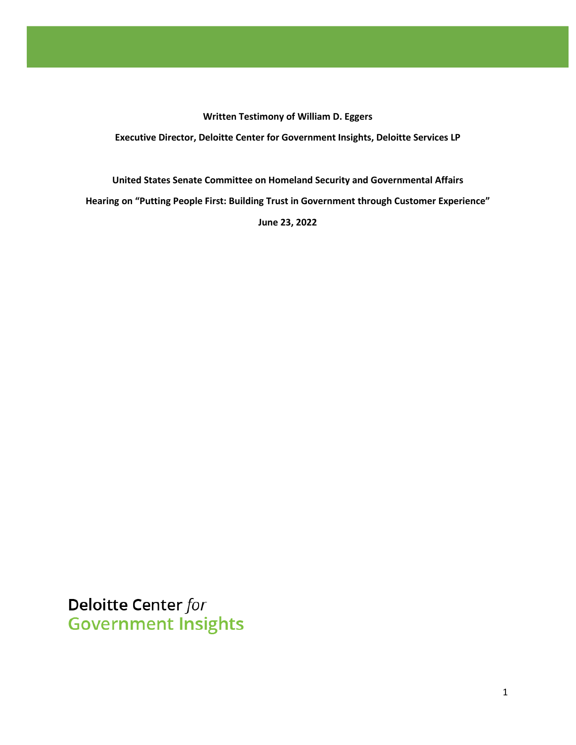**Written Testimony of William D. Eggers Executive Director, Deloitte Center for Government Insights, Deloitte Services LP**

**United States Senate Committee on Homeland Security and Governmental Affairs Hearing on "Putting People First: Building Trust in Government through Customer Experience" June 23, 2022**

Deloitte Center for **Government Insights**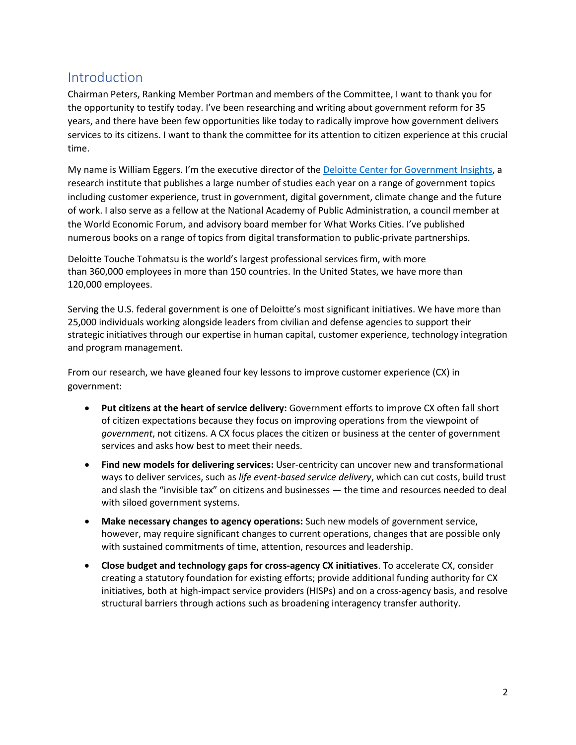## Introduction

Chairman Peters, Ranking Member Portman and members of the Committee, I want to thank you for the opportunity to testify today. I've been researching and writing about government reform for 35 years, and there have been few opportunities like today to radically improve how government delivers services to its citizens. I want to thank the committee for its attention to citizen experience at this crucial time.

My name is William Eggers. I'm the executive director of th[e Deloitte Center for Government Insights,](http://www.deloitte.com/us/center-for-government-insights) a research institute that publishes a large number of studies each year on a range of government topics including customer experience, trust in government, digital government, climate change and the future of work. I also serve as a fellow at the National Academy of Public Administration, a council member at the World Economic Forum, and advisory board member for What Works Cities. I've published numerous books on a range of topics from digital transformation to public-private partnerships.

Deloitte Touche Tohmatsu is the world's largest professional services firm, with more than 360,000 employees in more than 150 countries. In the United States, we have more than 120,000 employees.

Serving the U.S. federal government is one of Deloitte's most significant initiatives. We have more than 25,000 individuals working alongside leaders from civilian and defense agencies to support their strategic initiatives through our expertise in human capital, customer experience, technology integration and program management.

From our research, we have gleaned four key lessons to improve customer experience (CX) in government:

- **Put citizens at the heart of service delivery:** Government efforts to improve CX often fall short of citizen expectations because they focus on improving operations from the viewpoint of *government*, not citizens. A CX focus places the citizen or business at the center of government services and asks how best to meet their needs.
- **Find new models for delivering services:** User-centricity can uncover new and transformational ways to deliver services, such as *life event-based service delivery*, which can cut costs, build trust and slash the "invisible tax" on citizens and businesses — the time and resources needed to deal with siloed government systems.
- **Make necessary changes to agency operations:** Such new models of government service, however, may require significant changes to current operations, changes that are possible only with sustained commitments of time, attention, resources and leadership.
- **Close budget and technology gaps for cross-agency CX initiatives**. To accelerate CX, consider creating a statutory foundation for existing efforts; provide additional funding authority for CX initiatives, both at high-impact service providers (HISPs) and on a cross-agency basis, and resolve structural barriers through actions such as broadening interagency transfer authority.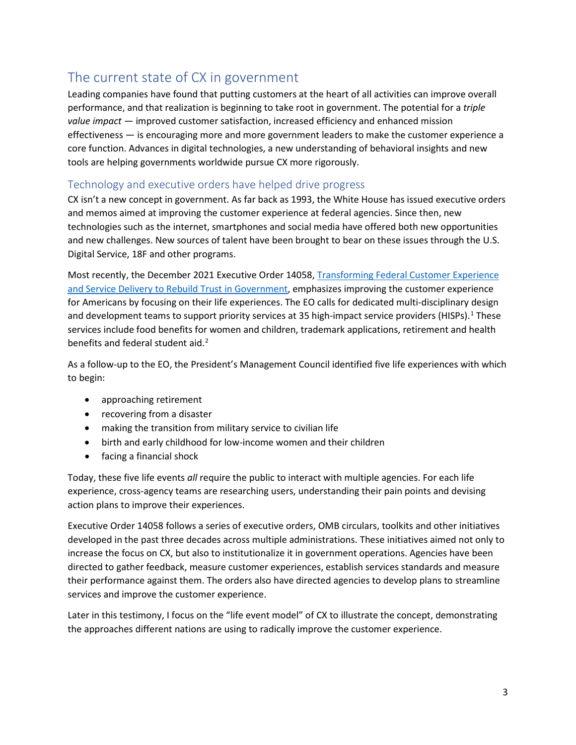## The current state of CX in government

Leading companies have found that putting customers at the heart of all activities can improve overall performance, and that realization is beginning to take root in government. The potential for a *triple value impact* — improved customer satisfaction, increased efficiency and enhanced mission effectiveness — is encouraging more and more government leaders to make the customer experience a core function. Advances in digital technologies, a new understanding of behavioral insights and new tools are helping governments worldwide pursue CX more rigorously.

#### Technology and executive orders have helped drive progress

CX isn't a new concept in government. As far back as 1993, the White House has issued executive orders and memos aimed at improving the customer experience at federal agencies. Since then, new technologies such as the internet, smartphones and social media have offered both new opportunities and new challenges. New sources of talent have been brought to bear on these issues through the U.S. Digital Service, 18F and other programs.

Most recently, the December 2021 Executive Order 14058, [Transforming Federal Customer Experience](https://www.whitehouse.gov/briefing-room/presidential-actions/2021/12/13/executive-order-on-transforming-federal-customer-experience-and-service-delivery-to-rebuild-trust-in-government/)  and [Service Delivery to Rebuild Trust in Government,](https://www.whitehouse.gov/briefing-room/presidential-actions/2021/12/13/executive-order-on-transforming-federal-customer-experience-and-service-delivery-to-rebuild-trust-in-government/) emphasizes improving the customer experience for Americans by focusing on their life experiences. The EO calls for dedicated multi-disciplinary design and development teams to support priority services at 35 high-impact service providers (HISPs).<sup>[1](#page-2-0)</sup> These services include food benefits for women and children, trademark applications, retirement and health benefits and federal student aid.<sup>[2](#page-2-1)</sup>

As a follow-up to the EO, the President's Management Council identified five life experiences with which to begin:

- approaching retirement
- recovering from a disaster
- making the transition from military service to civilian life
- birth and early childhood for low-income women and their children
- facing a financial shock

Today, these five life events *all* require the public to interact with multiple agencies. For each life experience, cross-agency teams are researching users, understanding their pain points and devising action plans to improve their experiences.

<span id="page-2-3"></span><span id="page-2-2"></span><span id="page-2-1"></span><span id="page-2-0"></span>Executive Order 14058 follows a series of executive orders, OMB circulars, toolkits and other initiatives developed in the past three decades across multiple administrations. These initiatives aimed not only to increase the focus on CX, but also to institutionalize it in government operations. Agencies have been directed to gather feedback, measure customer experiences, establish services standards and measure their performance against them. The orders also have directed agencies to develop plans to streamline services and improve the customer experience.

<span id="page-2-8"></span><span id="page-2-7"></span><span id="page-2-6"></span><span id="page-2-5"></span><span id="page-2-4"></span>Later in this testimony, I focus on the "life event model" of CX to illustrate the concept, demonstrating the approaches different nations are using to radically improve the customer experience.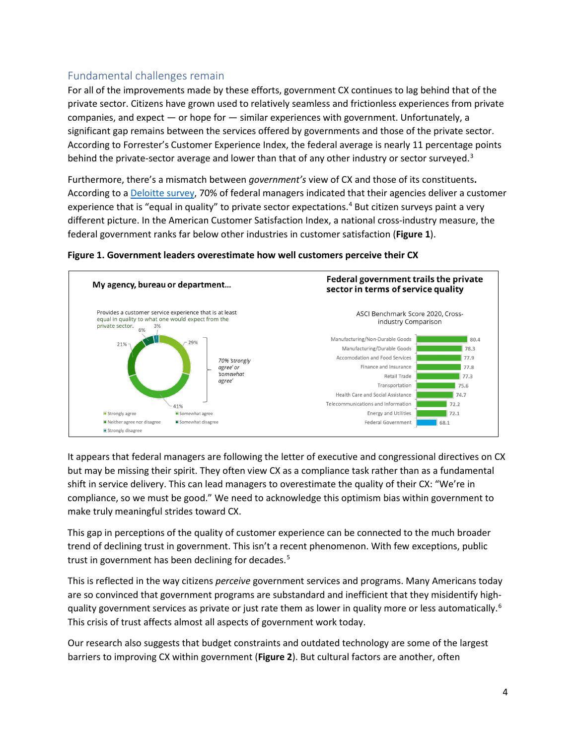## Fundamental challenges remain

<span id="page-3-2"></span><span id="page-3-1"></span><span id="page-3-0"></span>For all of the improvements made by these efforts, government CX continues to lag behind that of the private sector. Citizens have grown used to relatively seamless and frictionless experiences from private companies, and expect  $-$  or hope for  $-$  similar experiences with government. Unfortunately, a significant gap remains between the services offered by governments and those of the private sector. According to Forrester's Customer Experience Index, the federal average is nearly 11 percentage points behind the private-sector average and lower than that of any other industry or sector surveyed.<sup>[3](#page-2-2)</sup>

<span id="page-3-6"></span><span id="page-3-5"></span><span id="page-3-4"></span><span id="page-3-3"></span>Furthermore, there's a mismatch between *government's* view of CX and those of its constituents**.** According to a [Deloitte survey,](https://www2.deloitte.com/us/en/insights/industry/public-sector/customer-experience-in-government.html) 70% of federal managers indicated that their agencies deliver a customer experience that is "equal in quality" to private sector expectations.<sup>[4](#page-2-3)</sup> But citizen surveys paint a very different picture. In the American Customer Satisfaction Index, a national cross-industry measure, the federal government ranks far below other industries in customer satisfaction (**Figure 1**).

<span id="page-3-13"></span><span id="page-3-12"></span><span id="page-3-11"></span><span id="page-3-10"></span><span id="page-3-9"></span><span id="page-3-8"></span><span id="page-3-7"></span>

#### **Figure 1. Government leaders overestimate how well customers perceive their CX**

<span id="page-3-20"></span><span id="page-3-19"></span><span id="page-3-18"></span><span id="page-3-17"></span><span id="page-3-16"></span><span id="page-3-15"></span><span id="page-3-14"></span>It appears that federal managers are following the letter of executive and congressional directives on CX but may be missing their spirit. They often view CX as a compliance task rather than as a fundamental shift in service delivery. This can lead managers to overestimate the quality of their CX: "We're in compliance, so we must be good." We need to acknowledge this optimism bias within government to make truly meaningful strides toward CX.

<span id="page-3-24"></span><span id="page-3-23"></span><span id="page-3-22"></span><span id="page-3-21"></span>This gap in perceptions of the quality of customer experience can be connected to the much broader trend of declining trust in government. This isn't a recent phenomenon. With few exceptions, public trust in government has been declining for decades.<sup>[5](#page-2-4)</sup>

<span id="page-3-26"></span><span id="page-3-25"></span>This is reflected in the way citizens *perceive* government services and programs. Many Americans today are so convinced that government programs are substandard and inefficient that they misidentify high-quality government services as private or just rate them as lower in quality more or less automatically.<sup>[6](#page-2-5)</sup> This crisis of trust affects almost all aspects of government work today.

Our research also suggests that budget constraints and outdated technology are some of the largest barriers to improving CX within government (**Figure 2**). But cultural factors are another, often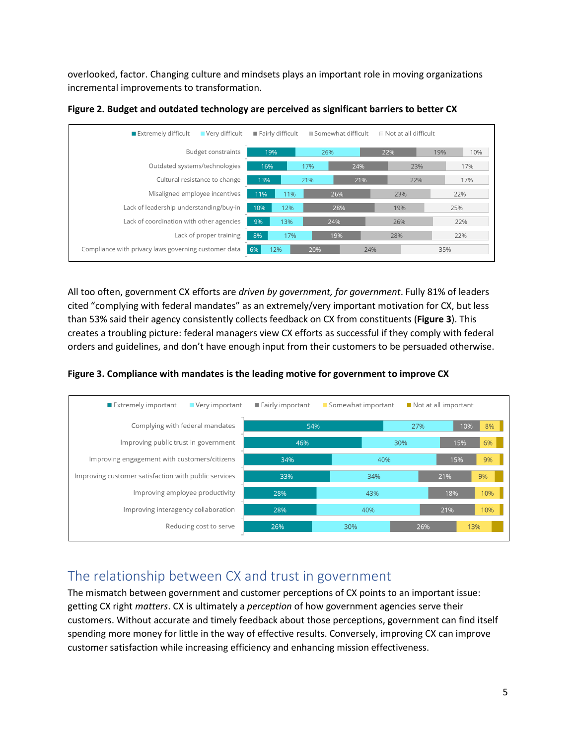overlooked, factor. Changing culture and mindsets plays an important role in moving organizations incremental improvements to transformation.

| Very difficult<br>Extremely difficult                |     | Fairly difficult |     | Somewhat difficult |     | $\Box$ Not at all difficult |     |     |  |
|------------------------------------------------------|-----|------------------|-----|--------------------|-----|-----------------------------|-----|-----|--|
| <b>Budget constraints</b>                            | 19% |                  | 26% |                    | 22% |                             | 19% | 10% |  |
| Outdated systems/technologies                        | 16% |                  | 17% | 24%                |     | 23%                         |     | 17% |  |
| Cultural resistance to change                        | 13% |                  | 21% |                    | 21% | 22%                         |     | 17% |  |
| Misaligned employee incentives                       | 11% | 11%              |     | 26%                |     | 23%                         |     | 22% |  |
| Lack of leadership understanding/buy-in              | 10% | 12%              |     | 28%                |     | 19%                         |     | 25% |  |
| Lack of coordination with other agencies             | 9%  | 13%              | 24% |                    |     | 26%                         |     | 22% |  |
| Lack of proper training                              | 8%  | 17%              |     | 19%                |     | 28%                         |     | 22% |  |
| Compliance with privacy laws governing customer data | 6%  | 12%              | 20% |                    | 24% |                             | 35% |     |  |

**Figure 2. Budget and outdated technology are perceived as significant barriers to better CX** 

All too often, government CX efforts are *driven by government, for government*. Fully 81% of leaders cited "complying with federal mandates" as an extremely/very important motivation for CX, but less than 53% said their agency consistently collects feedback on CX from constituents (**Figure 3**). This creates a troubling picture: federal managers view CX efforts as successful if they comply with federal orders and guidelines, and don't have enough input from their customers to be persuaded otherwise.

**Figure 3. Compliance with mandates is the leading motive for government to improve CX**



## The relationship between CX and trust in government

The mismatch between government and customer perceptions of CX points to an important issue: getting CX right *matters*. CX is ultimately a *perception* of how government agencies serve their customers. Without accurate and timely feedback about those perceptions, government can find itself spending more money for little in the way of effective results. Conversely, improving CX can improve customer satisfaction while increasing efficiency and enhancing mission effectiveness.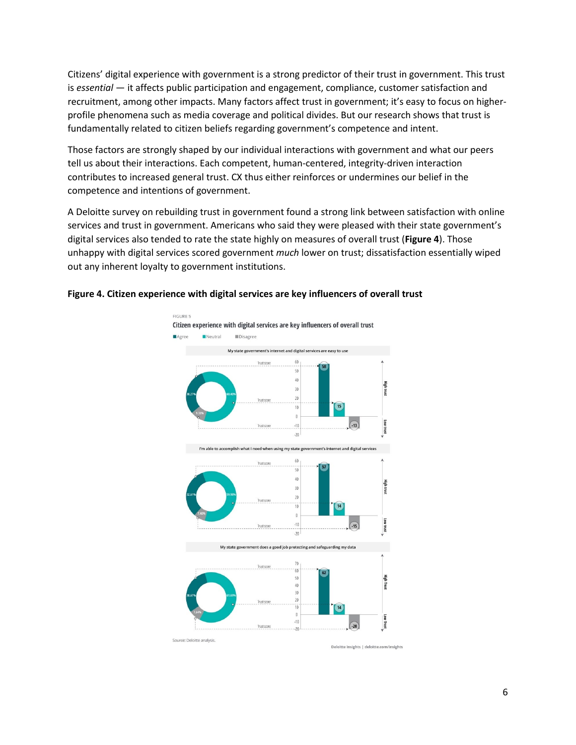Citizens' digital experience with government is a strong predictor of their trust in government. This trust is *essential* — it affects public participation and engagement, compliance, customer satisfaction and recruitment, among other impacts. Many factors affect trust in government; it's easy to focus on higherprofile phenomena such as media coverage and political divides. But our research shows that trust is fundamentally related to citizen beliefs regarding government's competence and intent.

Those factors are strongly shaped by our individual interactions with government and what our peers tell us about their interactions. Each competent, human-centered, integrity-driven interaction contributes to increased general trust. CX thus either reinforces or undermines our belief in the competence and intentions of government.

A Deloitte survey on rebuilding trust in government found a strong link between satisfaction with online services and trust in government. Americans who said they were pleased with their state government's digital services also tended to rate the state highly on measures of overall trust (**Figure 4**). Those unhappy with digital services scored government *much* lower on trust; dissatisfaction essentially wiped out any inherent loyalty to government institutions.



#### **Figure 4. Citizen experience with digital services are key influencers of overall trust**

Deloitte Insights | deloitte.com/insights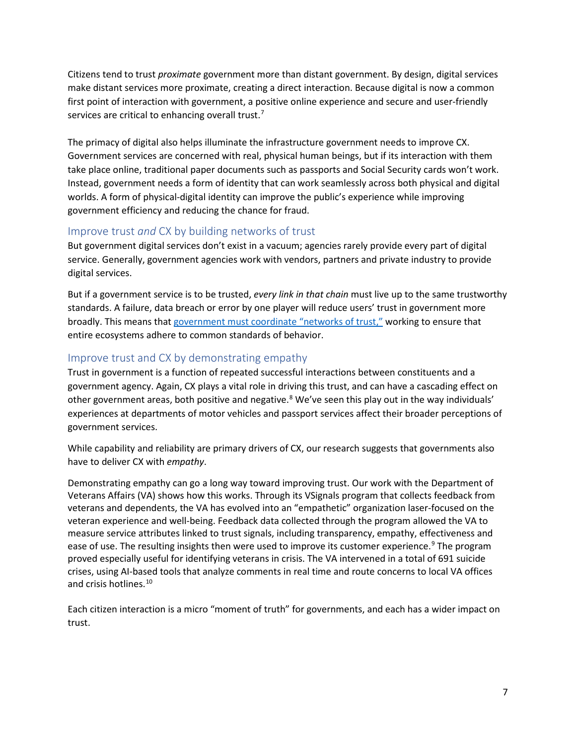Citizens tend to trust *proximate* government more than distant government. By design, digital services make distant services more proximate, creating a direct interaction. Because digital is now a common first point of interaction with government, a positive online experience and secure and user-friendly services are critical to enhancing overall trust.<sup>[7](#page-2-6)</sup>

The primacy of digital also helps illuminate the infrastructure government needs to improve CX. Government services are concerned with real, physical human beings, but if its interaction with them take place online, traditional paper documents such as passports and Social Security cards won't work. Instead, government needs a form of identity that can work seamlessly across both physical and digital worlds. A form of physical-digital identity can improve the public's experience while improving government efficiency and reducing the chance for fraud.

### Improve trust *and* CX by building networks of trust

But government digital services don't exist in a vacuum; agencies rarely provide every part of digital service. Generally, government agencies work with vendors, partners and private industry to provide digital services.

But if a government service is to be trusted, *every link in that chain* must live up to the same trustworthy standards. A failure, data breach or error by one player will reduce users' trust in government more broadly. This means tha[t government must coordinate "networks of trust,"](https://www2.deloitte.com/us/en/insights/industry/public-sector/trust-deficit-government.html) working to ensure that entire ecosystems adhere to common standards of behavior.

### Improve trust and CX by demonstrating empathy

Trust in government is a function of repeated successful interactions between constituents and a government agency. Again, CX plays a vital role in driving this trust, and can have a cascading effect on other government areas, both positive and negative.<sup>[8](#page-2-7)</sup> We've seen this play out in the way individuals' experiences at departments of motor vehicles and passport services affect their broader perceptions of government services.

While capability and reliability are primary drivers of CX, our research suggests that governments also have to deliver CX with *empathy*.

Demonstrating empathy can go a long way toward improving trust. Our work with the Department of Veterans Affairs (VA) shows how this works. Through its VSignals program that collects feedback from veterans and dependents, the VA has evolved into an "empathetic" organization laser-focused on the veteran experience and well-being. Feedback data collected through the program allowed the VA to measure service attributes linked to trust signals, including transparency, empathy, effectiveness and ease of use. The resulting insights then were used to improve its customer experience.<sup>[9](#page-2-8)</sup> The program proved especially useful for identifying veterans in crisis. The VA intervened in a total of 691 suicide crises, using AI-based tools that analyze comments in real time and route concerns to local VA offices and crisis hotlines.<sup>[10](#page-3-0)</sup>

Each citizen interaction is a micro "moment of truth" for governments, and each has a wider impact on trust.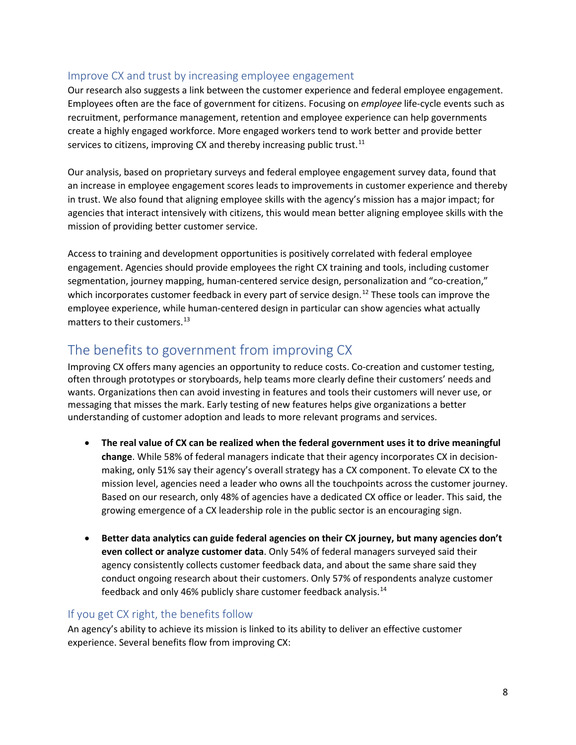### Improve CX and trust by increasing employee engagement

Our research also suggests a link between the customer experience and federal employee engagement. Employees often are the face of government for citizens. Focusing on *employee* life-cycle events such as recruitment, performance management, retention and employee experience can help governments create a highly engaged workforce. More engaged workers tend to work better and provide better services to citizens, improving CX and thereby increasing public trust. $^{11}$ 

Our analysis, based on proprietary surveys and federal employee engagement survey data, found that an increase in employee engagement scores leads to improvements in customer experience and thereby in trust. We also found that aligning employee skills with the agency's mission has a major impact; for agencies that interact intensively with citizens, this would mean better aligning employee skills with the mission of providing better customer service.

Access to training and development opportunities is positively correlated with federal employee engagement. Agencies should provide employees the right CX training and tools, including customer segmentation, journey mapping, human-centered service design, personalization and "co-creation," which incorporates customer feedback in every part of service design.<sup>[12](#page-3-2)</sup> These tools can improve the employee experience, while human-centered design in particular can show agencies what actually matters to their customers.<sup>[13](#page-3-3)</sup>

# The benefits to government from improving CX

Improving CX offers many agencies an opportunity to reduce costs. Co-creation and customer testing, often through prototypes or storyboards, help teams more clearly define their customers' needs and wants. Organizations then can avoid investing in features and tools their customers will never use, or messaging that misses the mark. Early testing of new features helps give organizations a better understanding of customer adoption and leads to more relevant programs and services.

- **The real value of CX can be realized when the federal government uses it to drive meaningful change**. While 58% of federal managers indicate that their agency incorporates CX in decisionmaking, only 51% say their agency's overall strategy has a CX component. To elevate CX to the mission level, agencies need a leader who owns all the touchpoints across the customer journey. Based on our research, only 48% of agencies have a dedicated CX office or leader. This said, the growing emergence of a CX leadership role in the public sector is an encouraging sign.
- **Better data analytics can guide federal agencies on their CX journey, but many agencies don't even collect or analyze customer data**. Only 54% of federal managers surveyed said their agency consistently collects customer feedback data, and about the same share said they conduct ongoing research about their customers. Only 57% of respondents analyze customer feedback and only 46% publicly share customer feedback analysis.<sup>[14](#page-3-4)</sup>

## If you get CX right, the benefits follow

An agency's ability to achieve its mission is linked to its ability to deliver an effective customer experience. Several benefits flow from improving CX: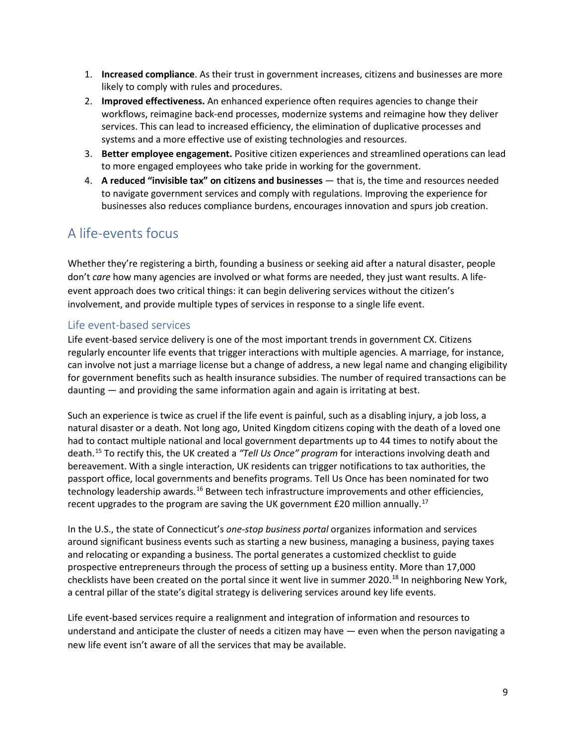- 1. **Increased compliance**. As their trust in government increases, citizens and businesses are more likely to comply with rules and procedures.
- 2. **Improved effectiveness.** An enhanced experience often requires agencies to change their workflows, reimagine back-end processes, modernize systems and reimagine how they deliver services. This can lead to increased efficiency, the elimination of duplicative processes and systems and a more effective use of existing technologies and resources.
- 3. **Better employee engagement.** Positive citizen experiences and streamlined operations can lead to more engaged employees who take pride in working for the government.
- 4. **A reduced "invisible tax" on citizens and businesses** that is, the time and resources needed to navigate government services and comply with regulations. Improving the experience for businesses also reduces compliance burdens, encourages innovation and spurs job creation.

## A life-events focus

Whether they're registering a birth, founding a business or seeking aid after a natural disaster, people don't *care* how many agencies are involved or what forms are needed, they just want results. A lifeevent approach does two critical things: it can begin delivering services without the citizen's involvement, and provide multiple types of services in response to a single life event.

### Life event-based services

Life event-based service delivery is one of the most important trends in government CX. Citizens regularly encounter life events that trigger interactions with multiple agencies. A marriage, for instance, can involve not just a marriage license but a change of address, a new legal name and changing eligibility for government benefits such as health insurance subsidies. The number of required transactions can be daunting — and providing the same information again and again is irritating at best.

Such an experience is twice as cruel if the life event is painful, such as a disabling injury, a job loss, a natural disaster or a death. Not long ago, United Kingdom citizens coping with the death of a loved one had to contact multiple national and local government departments up to 44 times to notify about the death.[15](#page-3-5) To rectify this, the UK created a *"Tell Us Once" program* for interactions involving death and bereavement. With a single interaction, UK residents can trigger notifications to tax authorities, the passport office, local governments and benefits programs. Tell Us Once has been nominated for two technology leadership awards.<sup>[16](#page-3-6)</sup> Between tech infrastructure improvements and other efficiencies, recent upgrades to the program are saving the UK government £20 million annually.[17](#page-3-7)

In the U.S., the state of Connecticut's *one-stop business portal* organizes information and services around significant business events such as starting a new business, managing a business, paying taxes and relocating or expanding a business. The portal generates a customized checklist to guide prospective entrepreneurs through the process of setting up a business entity. More than 17,000 checklists have been created on the portal since it went live in summer 2020.<sup>[18](#page-3-8)</sup> In neighboring New York, a central pillar of the state's digital strategy is delivering services around key life events.

Life event-based services require a realignment and integration of information and resources to understand and anticipate the cluster of needs a citizen may have — even when the person navigating a new life event isn't aware of all the services that may be available.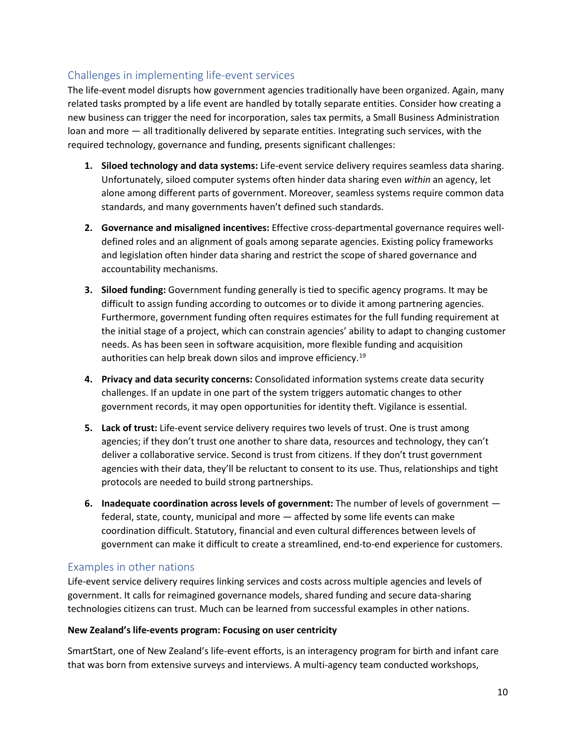### Challenges in implementing life-event services

The life-event model disrupts how government agencies traditionally have been organized. Again, many related tasks prompted by a life event are handled by totally separate entities. Consider how creating a new business can trigger the need for incorporation, sales tax permits, a Small Business Administration loan and more — all traditionally delivered by separate entities. Integrating such services, with the required technology, governance and funding, presents significant challenges:

- **1. Siloed technology and data systems:** Life-event service delivery requires seamless data sharing. Unfortunately, siloed computer systems often hinder data sharing even *within* an agency, let alone among different parts of government. Moreover, seamless systems require common data standards, and many governments haven't defined such standards.
- **2. Governance and misaligned incentives:** Effective cross-departmental governance requires welldefined roles and an alignment of goals among separate agencies. Existing policy frameworks and legislation often hinder data sharing and restrict the scope of shared governance and accountability mechanisms.
- **3. Siloed funding:** Government funding generally is tied to specific agency programs. It may be difficult to assign funding according to outcomes or to divide it among partnering agencies. Furthermore, government funding often requires estimates for the full funding requirement at the initial stage of a project, which can constrain agencies' ability to adapt to changing customer needs. As has been seen in software acquisition, more flexible funding and acquisition authorities can help break down silos and improve efficiency.<sup>[19](#page-3-9)</sup>
- **4. Privacy and data security concerns:** Consolidated information systems create data security challenges. If an update in one part of the system triggers automatic changes to other government records, it may open opportunities for identity theft. Vigilance is essential.
- **5. Lack of trust:** Life-event service delivery requires two levels of trust. One is trust among agencies; if they don't trust one another to share data, resources and technology, they can't deliver a collaborative service. Second is trust from citizens. If they don't trust government agencies with their data, they'll be reluctant to consent to its use. Thus, relationships and tight protocols are needed to build strong partnerships.
- **6. Inadequate coordination across levels of government:** The number of levels of government federal, state, county, municipal and more — affected by some life events can make coordination difficult. Statutory, financial and even cultural differences between levels of government can make it difficult to create a streamlined, end-to-end experience for customers.

#### Examples in other nations

Life-event service delivery requires linking services and costs across multiple agencies and levels of government. It calls for reimagined governance models, shared funding and secure data-sharing technologies citizens can trust. Much can be learned from successful examples in other nations.

#### **New Zealand's life-events program: Focusing on user centricity**

SmartStart, one of New Zealand's life-event efforts, is an interagency program for birth and infant care that was born from extensive surveys and interviews. A multi-agency team conducted workshops,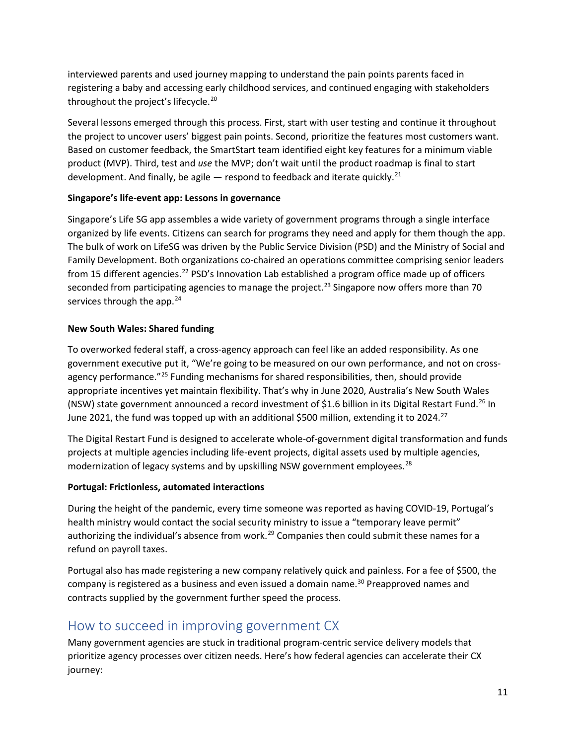interviewed parents and used journey mapping to understand the pain points parents faced in registering a baby and accessing early childhood services, and continued engaging with stakeholders throughout the project's lifecycle.<sup>[20](#page-3-10)</sup>

Several lessons emerged through this process. First, start with user testing and continue it throughout the project to uncover users' biggest pain points. Second, prioritize the features most customers want. Based on customer feedback, the SmartStart team identified eight key features for a minimum viable product (MVP). Third, test and *use* the MVP; don't wait until the product roadmap is final to start development. And finally, be agile  $-$  respond to feedback and iterate quickly.<sup>21</sup>

#### **Singapore's life-event app: Lessons in governance**

Singapore's Life SG app assembles a wide variety of government programs through a single interface organized by life events. Citizens can search for programs they need and apply for them though the app. The bulk of work on LifeSG was driven by the Public Service Division (PSD) and the Ministry of Social and Family Development. Both organizations co-chaired an operations committee comprising senior leaders from 15 different agencies.<sup>[22](#page-3-12)</sup> PSD's Innovation Lab established a program office made up of officers seconded from participating agencies to manage the project.<sup>[23](#page-3-13)</sup> Singapore now offers more than 70 services through the app.<sup>[24](#page-3-14)</sup>

#### **New South Wales: Shared funding**

To overworked federal staff, a cross-agency approach can feel like an added responsibility. As one government executive put it, "We're going to be measured on our own performance, and not on crossagency performance."[25](#page-3-15) Funding mechanisms for shared responsibilities, then, should provide appropriate incentives yet maintain flexibility. That's why in June 2020, Australia's New South Wales (NSW) state government announced a record investment of \$1.6 billion in its Digital Restart Fund.[26](#page-3-16) In June 2021, the fund was topped up with an additional \$500 million, extending it to 2024.<sup>27</sup>

The Digital Restart Fund is designed to accelerate whole-of-government digital transformation and funds projects at multiple agencies including life-event projects, digital assets used by multiple agencies, modernization of legacy systems and by upskilling NSW government employees.<sup>[28](#page-3-18)</sup>

#### **Portugal: Frictionless, automated interactions**

During the height of the pandemic, every time someone was reported as having COVID-19, Portugal's health ministry would contact the social security ministry to issue a "temporary leave permit" authorizing the individual's absence from work.<sup>29</sup> Companies then could submit these names for a refund on payroll taxes.

Portugal also has made registering a new company relatively quick and painless. For a fee of \$500, the company is registered as a business and even issued a domain name.<sup>30</sup> Preapproved names and contracts supplied by the government further speed the process.

## How to succeed in improving government CX

Many government agencies are stuck in traditional program-centric service delivery models that prioritize agency processes over citizen needs. Here's how federal agencies can accelerate their CX journey: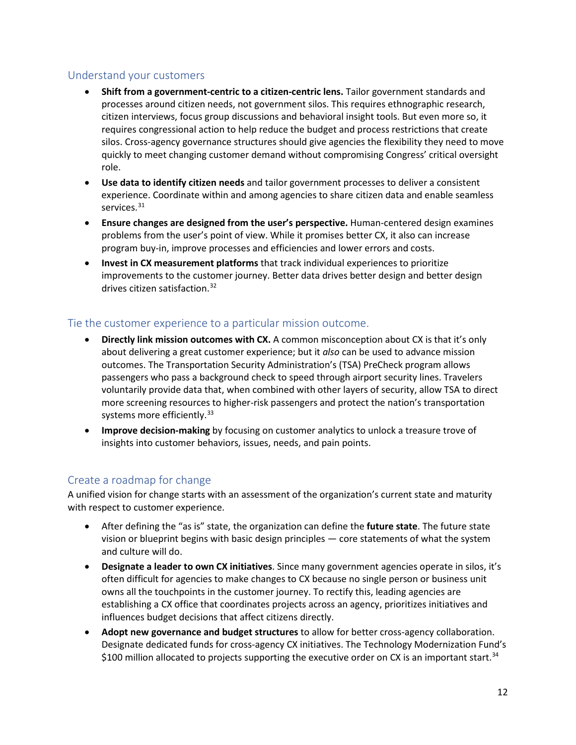#### Understand your customers

- **Shift from a government-centric to a citizen-centric lens.** Tailor government standards and processes around citizen needs, not government silos. This requires ethnographic research, citizen interviews, focus group discussions and behavioral insight tools. But even more so, it requires congressional action to help reduce the budget and process restrictions that create silos. Cross-agency governance structures should give agencies the flexibility they need to move quickly to meet changing customer demand without compromising Congress' critical oversight role.
- **Use data to identify citizen needs** and tailor government processes to deliver a consistent experience. Coordinate within and among agencies to share citizen data and enable seamless services.<sup>[31](#page-3-21)</sup>
- **Ensure changes are designed from the user's perspective.** Human-centered design examines problems from the user's point of view. While it promises better CX, it also can increase program buy-in, improve processes and efficiencies and lower errors and costs.
- **Invest in CX measurement platforms** that track individual experiences to prioritize improvements to the customer journey. Better data drives better design and better design drives citizen satisfaction. [32](#page-3-22)

#### Tie the customer experience to a particular mission outcome.

- **Directly link mission outcomes with CX.** A common misconception about CX is that it's only about delivering a great customer experience; but it *also* can be used to advance mission outcomes. The Transportation Security Administration's (TSA) PreCheck program allows passengers who pass a background check to speed through airport security lines. Travelers voluntarily provide data that, when combined with other layers of security, allow TSA to direct more screening resources to higher-risk passengers and protect the nation's transportation systems more efficiently.<sup>[33](#page-3-23)</sup>
- **Improve decision-making** by focusing on customer analytics to unlock a treasure trove of insights into customer behaviors, issues, needs, and pain points.

#### Create a roadmap for change

A unified vision for change starts with an assessment of the organization's current state and maturity with respect to customer experience.

- After defining the "as is" state, the organization can define the **future state**. The future state vision or blueprint begins with basic design principles — core statements of what the system and culture will do.
- **Designate a leader to own CX initiatives**. Since many government agencies operate in silos, it's often difficult for agencies to make changes to CX because no single person or business unit owns all the touchpoints in the customer journey. To rectify this, leading agencies are establishing a CX office that coordinates projects across an agency, prioritizes initiatives and influences budget decisions that affect citizens directly.
- **Adopt new governance and budget structures** to allow for better cross-agency collaboration. Designate dedicated funds for cross-agency CX initiatives. The Technology Modernization Fund's \$100 million allocated to projects supporting the executive order on CX is an important start.<sup>[34](#page-3-24)</sup>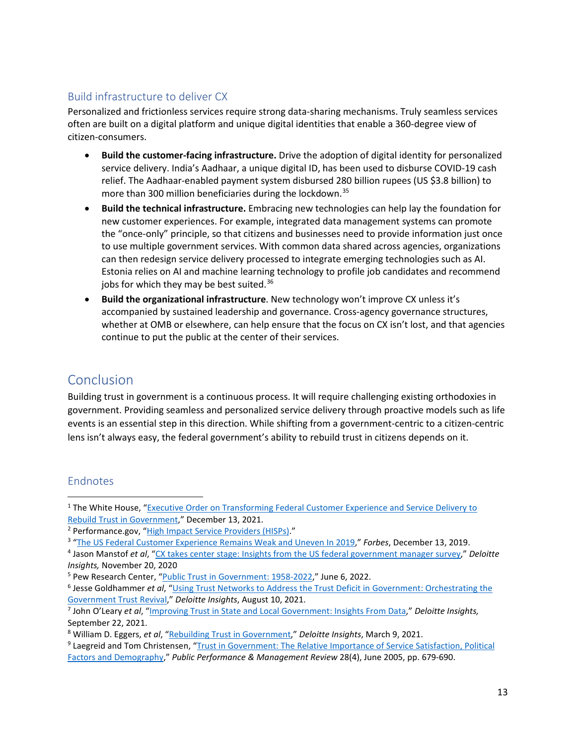### Build infrastructure to deliver CX

Personalized and frictionless services require strong data-sharing mechanisms. Truly seamless services often are built on a digital platform and unique digital identities that enable a 360-degree view of citizen-consumers.

- **Build the customer-facing infrastructure.** Drive the adoption of digital identity for personalized service delivery. India's Aadhaar, a unique digital ID, has been used to disburse COVID-19 cash relief. The Aadhaar-enabled payment system disbursed 280 billion rupees (US \$3.8 billion) to more than 300 million beneficiaries during the lockdown.<sup>[35](#page-3-25)</sup>
- **Build the technical infrastructure.** Embracing new technologies can help lay the foundation for new customer experiences. For example, integrated data management systems can promote the "once-only" principle, so that citizens and businesses need to provide information just once to use multiple government services. With common data shared across agencies, organizations can then redesign service delivery processed to integrate emerging technologies such as AI. Estonia relies on AI and machine learning technology to profile job candidates and recommend jobs for which they may be best suited.<sup>[36](#page-3-26)</sup>
- **Build the organizational infrastructure**. New technology won't improve CX unless it's accompanied by sustained leadership and governance. Cross-agency governance structures, whether at OMB or elsewhere, can help ensure that the focus on CX isn't lost, and that agencies continue to put the public at the center of their services.

## Conclusion

Building trust in government is a continuous process. It will require challenging existing orthodoxies in government. Providing seamless and personalized service delivery through proactive models such as life events is an essential step in this direction. While shifting from a government-centric to a citizen-centric lens isn't always easy, the federal government's ability to rebuild trust in citizens depends on it.

## Endnotes

 $\overline{a}$ 

<sup>&</sup>lt;sup>1</sup> The White House, "Executive Order on Transforming Federal Customer Experience and Service Delivery to [Rebuild Trust in](https://www.whitehouse.gov/briefing-room/presidential-actions/2021/12/13/executive-order-on-transforming-federal-customer-experience-and-service-delivery-to-rebuild-trust-in-government/) Government," December 13, 2021.

<sup>&</sup>lt;sup>2</sup> Performance.gov, ["High Impact Service Providers \(HISPs\).](https://www.performance.gov/cx/agencies/)"

["The US Federal Customer Experience Remains Weak and Uneven In 2019,"](https://www.forbes.com/sites/forrester/2019/12/13/the-us-federal-customer-experience-remains-weak-and-uneven-in-2019/?sh=62996df94267) *Forbes*, December 13, 2019.

<sup>4</sup> Jason Manstof *et al*, ["CX takes center stage: Insights from the US federal government manager survey,](https://www2.deloitte.com/us/en/insights/industry/public-sector/customer-experience-in-government.html)" *Deloitte Insights,* November 20, 2020

<sup>&</sup>lt;sup>5</sup> Pew Research Center, ["Public Trust in Government: 1958-2022,"](https://www.pewresearch.org/politics/2022/06/06/public-trust-in-government-1958-2022/) June 6, 2022.

<sup>6</sup> Jesse Goldhammer *et al*, ["Using Trust Networks to Address the Trust Deficit in Government: Orchestrating the](https://www2.deloitte.com/us/en/insights/industry/public-sector/trust-deficit-government.html)  Government Trust Revival," *Deloitte Insights*, August 10, 2021. 7 John O'Leary *et al*, ["Improving Trust in State and Local Government: Insights From Data,](https://www2.deloitte.com/us/en/insights/industry/public-sector/trust-in-state-local-government.html)" *Deloitte Insights,*

September 22, 2021.

<sup>&</sup>lt;sup>8</sup> William D. Eggers, *et al*, "Rebuilding Trust in Government," *Deloitte Insights*, March 9, 2021. 9 Laegreid and Tom Christensen, "Trust in Government: The Relative Importance of Service Satisfaction, Political

[Factors and Demography,](https://www.researchgate.net/publication/259369331_Trust_in_Government_The_Relative_Importance_of_Service_Satisfaction_Political_Factors_and_Demography)" *Public Performance & Management Review* 28(4), June 2005, pp. 679-690.